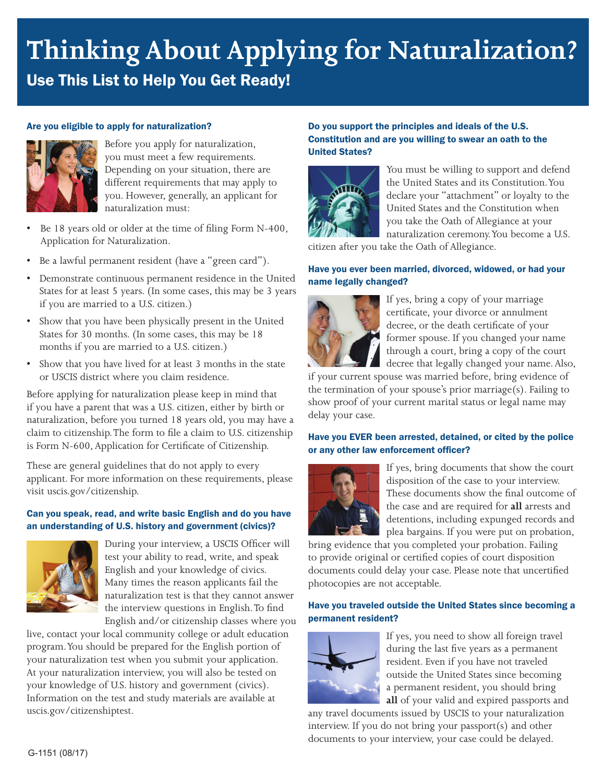# **Thinking About Applying for Naturalization?** Use This List to Help You Get Ready!

## Are you eligible to apply for naturalization?



Before you apply for naturalization, you must meet a few requirements. Depending on your situation, there are different requirements that may apply to you. However, generally, an applicant for naturalization must:

- Be 18 years old or older at the time of filing Form N-400, Application for Naturalization.
- Be a lawful permanent resident (have a "green card").
- Demonstrate continuous permanent residence in the United States for at least 5 years. (In some cases, this may be 3 years if you are married to a U.S. citizen.)
- Show that you have been physically present in the United States for 30 months. (In some cases, this may be 18 months if you are married to a U.S. citizen.)
- Show that you have lived for at least 3 months in the state or USCIS district where you claim residence.

Before applying for naturalization please keep in mind that if you have a parent that was a U.S. citizen, either by birth or naturalization, before you turned 18 years old, you may have a claim to citizenship. The form to file a claim to U.S. citizenship is Form N-600, Application for Certificate of Citizenship.

These are general guidelines that do not apply to every applicant. For more information on these requirements, please visit [uscis.gov/citizenship](http://www.uscis.gov/citizenship).

#### Can you speak, read, and write basic English and do you have an understanding of U.S. history and government (civics)?



During your interview, a USCIS Officer will test your ability to read, write, and speak English and your knowledge of civics. Many times the reason applicants fail the naturalization test is that they cannot answer the interview questions in English. To find English and/or citizenship classes where you

live, contact your local community college or adult education program. You should be prepared for the English portion of your naturalization test when you submit your application. At your naturalization interview, you will also be tested on your knowledge of U.S. history and government (civics). Information on the test and study materials are available at uscis.gov/citizenshiptest.

## Do you support the principles and ideals of the U.S. Constitution and are you willing to swear an oath to the United States?



You must be willing to support and defend the United States and its Constitution. You declare your "attachment" or loyalty to the United States and the Constitution when you take the Oath of Allegiance at your naturalization ceremony. You become a U.S.

citizen after you take the Oath of Allegiance.

#### Have you ever been married, divorced, widowed, or had your name legally changed?



If yes, bring a copy of your marriage certificate, your divorce or annulment decree, or the death certificate of your former spouse. If you changed your name through a court, bring a copy of the court decree that legally changed your name. Also,

if your current spouse was married before, bring evidence of the termination of your spouse's prior marriage(s). Failing to show proof of your current marital status or legal name may delay your case.

#### Have you EVER been arrested, detained, or cited by the police or any other law enforcement officer?



If yes, bring documents that show the court disposition of the case to your interview. These documents show the final outcome of the case and are required for **all** arrests and detentions, including expunged records and plea bargains. If you were put on probation,

bring evidence that you completed your probation. Failing to provide original or certified copies of court disposition documents could delay your case. Please note that uncertified photocopies are not acceptable.

## Have you traveled outside the United States since becoming a permanent resident?



If yes, you need to show all foreign travel during the last five years as a permanent resident. Even if you have not traveled outside the United States since becoming a permanent resident, you should bring **all** of your valid and expired passports and

any travel documents issued by USCIS to your naturalization interview. If you do not bring your passport(s) and other documents to your interview, your case could be delayed.